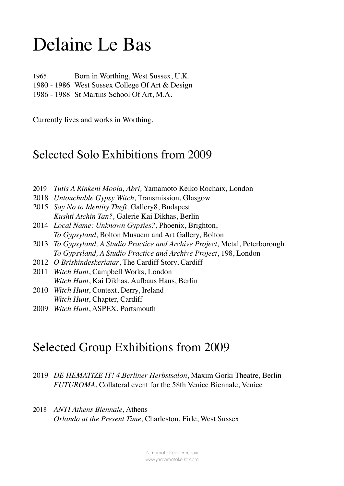## Delaine Le Bas

1965 Born in Worthing, West Sussex, U.K. 1980 - 1986 West Sussex College Of Art & Design 1986 - 1988 St Martins School Of Art, M.A.

Currently lives and works in Worthing.

## Selected Solo Exhibitions from 2009

- 2019 *Tutis A Rinkeni Moola, Abri,* Yamamoto Keiko Rochaix, London
- 2018 *Untouchable Gypsy Witch,* Transmission, Glasgow
- 2015 *Say No to Identity Theft,* Gallery8, Budapest *Kushti Atchin Tan?,* Galerie Kai Dikhas, Berlin
- 2014 *Local Name: Unknown Gypsies?,* Phoenix, Brighton, *To Gypsyland*, Bolton Musuem and Art Gallery, Bolton
- 2013 *To Gypsyland, A Studio Practice and Archive Project,* Metal, Peterborough *To Gypsyland, A Studio Practice and Archive Project*, 198, London
- 2012 *O Brishindeskeriatar*, The Cardiff Story, Cardiff
- 2011 *Witch Hunt*, Campbell Works, London *Witch Hunt*, Kai Dikhas, Aufbaus Haus, Berlin
- 2010 *Witch Hunt*, Context, Derry, Ireland *Witch Hunt*, Chapter, Cardiff
- 2009 *Witch Hunt*, ASPEX, Portsmouth

## Selected Group Exhibitions from 2009

- 2019 *DE HEMATIZE IT! 4.Berliner Herbstsalon*, Maxim Gorki Theatre, Berlin *FUTUROMA*, Collateral event for the 58th Venice Biennale, Venice
- 2018 *ANTI Athens Biennale,* Athens *Orlando at the Present Time,* Charleston, Firle, West Sussex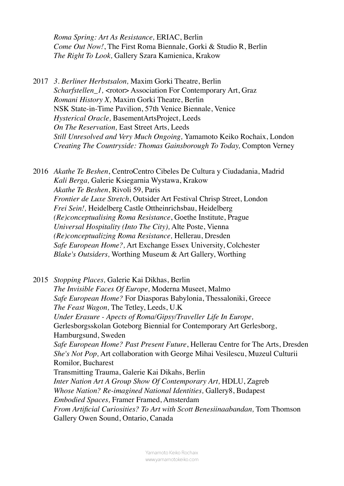*Roma Spring: Art As Resistance,* ERIAC, Berlin *Come Out Now!*, The First Roma Biennale, Gorki & Studio R, Berlin *The Right To Look,* Gallery Szara Kamienica, Krakow

2017 *3. Berliner Herbstsalon,* Maxim Gorki Theatre, Berlin *Scharfstellen 1, <rotor>Association For Contemporary Art, Graz Romani History X,* Maxim Gorki Theatre, Berlin NSK State-in-Time Pavilion, 57th Venice Biennale, Venice *Hysterical Oracle,* BasementArtsProject, Leeds *On The Reservation,* East Street Arts, Leeds *Still Unresolved and Very Much Ongoing,* Yamamoto Keiko Rochaix, London *Creating The Countryside: Thomas Gainsborough To Today,* Compton Verney

2016 *Akathe Te Beshen*, CentroCentro Cibeles De Cultura y Ciudadania, Madrid *Kali Berga,* Galerie Ksiegarnia Wystawa, Krakow *Akathe Te Beshen*, Rivoli 59, Paris *Frontier de Luxe Stretch*, Outsider Art Festival Chrisp Street, London *Frei Sein!,* Heidelberg Castle Ottheinrichsbau, Heidelberg *(Re)conceptualising Roma Resistance*, Goethe Institute, Prague *Universal Hospitality (Into The City),* Alte Poste, Vienna *(Re)conceptualizing Roma Resistance,* Hellerau, Dresden *Safe European Home?,* Art Exchange Essex University, Colchester *Blake's Outsiders,* Worthing Museum & Art Gallery, Worthing

2015 *Stopping Places,* Galerie Kai Dikhas, Berlin *The Invisible Faces Of Europe,* Moderna Museet, Malmo *Safe European Home?* For Diasporas Babylonia, Thessaloniki, Greece *The Feast Wagon,* The Tetley, Leeds, U.K *Under Erasure - Apects of Roma/Gipsy/Traveller Life In Europe,* Gerlesborgsskolan Goteborg Biennial for Contemporary Art Gerlesborg, Hamburgsund, Sweden *Safe European Home? Past Present Future*, Hellerau Centre for The Arts, Dresden *She's Not Pop,* Art collaboration with George Mihai Vesilescu, Muzeul Culturii Romilor, Bucharest Transmitting Trauma, Galerie Kai Dikahs, Berlin *Inter Nation Art A Group Show Of Contemporary Art,* HDLU, Zagreb *Whose Nation? Re-imagined National Identities,* Gallery8, Budapest *Embodied Spaces,* Framer Framed, Amsterdam *From Artificial Curiosities? To Art with Scott Benesiinaabandan,* Tom Thomson Gallery Owen Sound, Ontario, Canada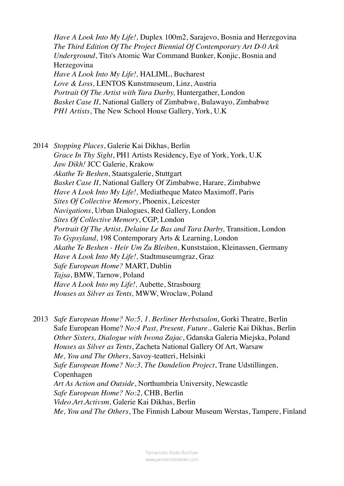*Have A Look Into My Life!,* Duplex 100m2, Sarajevo, Bosnia and Herzegovina *The Third Edition Of The Project Biennial Of Contemporary Art D-0 Ark Underground*, Tito's Atomic War Command Bunker, Konjic, Bosnia and Herzegovina *Have A Look Into My Life!,* HALIML, Bucharest *Love & Loss,* LENTOS Kunstmuseum, Linz, Austria *Portrait Of The Artist with Tara Darby,* Huntergather, London *Basket Case II*, National Gallery of Zimbabwe, Bulawayo, Zimbabwe *PH1 Artists*, The New School House Gallery, York, U.K

2014 *Stopping Places*, Galerie Kai Dikhas, Berlin *Grace In Thy Sight*, PH1 Artists Residency, Eye of York, York, U.K *Jaw Dikh!* JCC Galerie, Krakow *Akathe Te Beshen*, Staatsgalerie, Stuttgart *Basket Case II*, National Gallery Of Zimbabwe, Harare, Zimbabwe *Have A Look Into My Life!,* Mediatheque Mateo Maximoff, Paris *Sites Of Collective Memory*, Phoenix, Leicester *Navigations*, Urban Dialogues, Red Gallery, London *Sites Of Collective Memory*, CGP, London *Portrait Of The Artist, Delaine Le Bas and Tara Darby,* Transition, London *To Gypsyland*, 198 Contemporary Arts & Learning, London *Akathe Te Beshen - Heir Um Zu Bleiben*, Kunststaion, Kleinassen, Germany *Have A Look Into My Life!,* Stadtmuseumgraz, Graz *Safe European Home?* MART, Dublin *Tajsa*, BMW, Tarnow, Poland *Have A Look Into my Life!,* Aubette, Strasbourg *Houses as Silver as Tents,* MWW, Wroclaw, Poland

2013 *Safe European Home? No:5, 1. Berliner Herbstsalon*, Gorki Theatre, Berlin Safe European Home? *No:4 Past, Present, Future..* Galerie Kai Dikhas, Berlin *Other Sisters, Dialogue with Iwona Zajac*, Gdanska Galeria Miejska, Poland *Houses as Silver as Tents*, Zacheta National Gallery Of Art, Warsaw *Me, You and The Others*, Savoy-teatteri, Helsinki *Safe European Home? No:3, The Dandelion Project*, Trane Udstillingen, Copenhagen *Art As Action and Outside*, Northumbria University, Newcastle *Safe European Home? No:2,* CHB, Berlin *Video.Art.Activsm,* Galerie Kai Dikhas, Berlin *Me, You and The Others*, The Finnish Labour Museum Werstas, Tampere, Finland